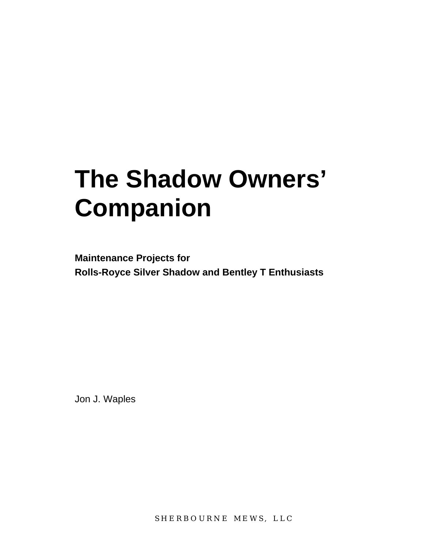# **The Shadow Owners' Companion**

**Maintenance Projects for Rolls-Royce Silver Shadow and Bentley T Enthusiasts** 

Jon J. Waples

SHERBOURNE MEWS, LLC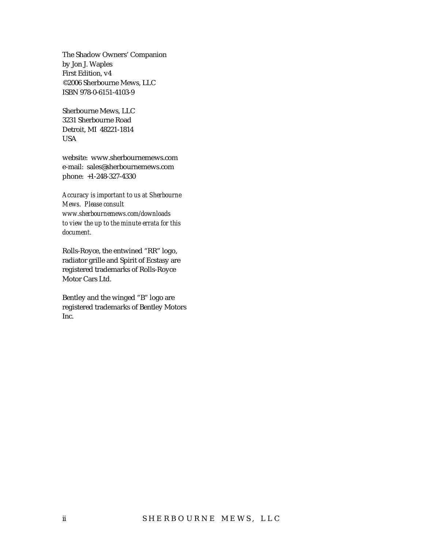The Shadow Owners' Companion by Jon J. Waples First Edition, v4 ©2006 Sherbourne Mews, LLC ISBN 978-0-6151-4103-9

Sherbourne Mews, LLC 3231 Sherbourne Road Detroit, MI 48221-1814 USA

website: www.sherbournemews.com e-mail: sales@sherbournemews.com phone: +1-248-327-4330

*Accuracy is important to us at Sherbourne Mews. Please consult www.sherbournemews.com/downloads to view the up to the minute errata for this document.* 

Rolls-Royce, the entwined "RR" logo, radiator grille and Spirit of Ecstasy are registered trademarks of Rolls-Royce Motor Cars Ltd.

Bentley and the winged "B" logo are registered trademarks of Bentley Motors Inc.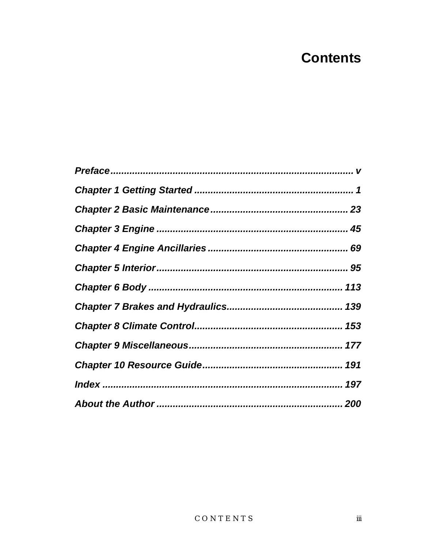## **Contents**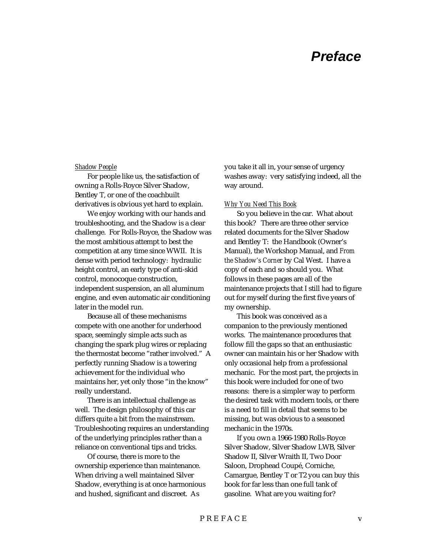### *Preface*

#### *Shadow People*

For people like us, the satisfaction of owning a Rolls-Royce Silver Shadow, Bentley T, or one of the coachbuilt derivatives is obvious yet hard to explain.

We enjoy working with our hands and troubleshooting, and the Shadow is a clear challenge. For Rolls-Royce, the Shadow was the most ambitious attempt to best the competition at any time since WWII. It is dense with period technology: hydraulic height control, an early type of anti-skid control, monocoque construction, independent suspension, an all aluminum engine, and even automatic air conditioning later in the model run.

Because all of these mechanisms compete with one another for underhood space, seemingly simple acts such as changing the spark plug wires or replacing the thermostat become "rather involved." A perfectly running Shadow is a towering achievement for the individual who maintains her, yet only those "in the know" really understand.

There is an intellectual challenge as well. The design philosophy of this car differs quite a bit from the mainstream. Troubleshooting requires an understanding of the underlying principles rather than a reliance on conventional tips and tricks.

Of course, there is more to the ownership experience than maintenance. When driving a well maintained Silver Shadow, everything is at once harmonious and hushed, significant and discreet. As

you take it all in, your sense of urgency washes away: very satisfying indeed, all the way around.

#### *Why You Need This Book*

So you believe in the car. What about this book? There are three other service related documents for the Silver Shadow and Bentley T: the Handbook (Owner's Manual), the Workshop Manual, and *From the Shadow's Corner* by Cal West. I have a copy of each and so should you. What follows in these pages are all of the maintenance projects that I still had to figure out for myself during the first five years of my ownership.

This book was conceived as a companion to the previously mentioned works. The maintenance procedures that follow fill the gaps so that an enthusiastic owner can maintain his or her Shadow with only occasional help from a professional mechanic. For the most part, the projects in this book were included for one of two reasons: there is a simpler way to perform the desired task with modern tools, or there is a need to fill in detail that seems to be missing, but was obvious to a seasoned mechanic in the 1970s.

If you own a 1966-1980 Rolls-Royce Silver Shadow, Silver Shadow LWB, Silver Shadow II, Silver Wraith II, Two Door Saloon, Drophead Coupé, Corniche, Camargue, Bentley T or T2 you can buy this book for far less than one full tank of gasoline. What are you waiting for?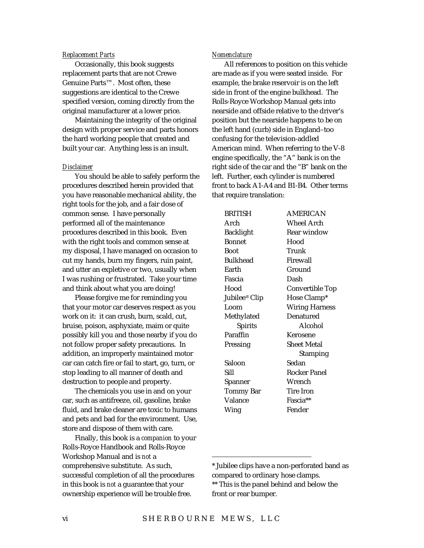#### *Replacement Parts*

Occasionally, this book suggests replacement parts that are not Crewe Genuine Parts™. Most often, these suggestions are identical to the Crewe specified version, coming directly from the original manufacturer at a lower price.

Maintaining the integrity of the original design with proper service and parts honors the hard working people that created and built your car. Anything less is an insult.

#### *Disclaimer*

You should be able to safely perform the procedures described herein provided that you have reasonable mechanical ability, the right tools for the job, and a fair dose of common sense. I have personally performed all of the maintenance procedures described in this book. Even with the right tools and common sense at my disposal, I have managed on occasion to cut my hands, burn my fingers, ruin paint, and utter an expletive or two, usually when I was rushing or frustrated. Take your time and think about what you are doing!

Please forgive me for reminding you that your motor car deserves respect as you work on it: it can crush, burn, scald, cut, bruise, poison, asphyxiate, maim or quite possibly kill you and those nearby if you do not follow proper safety precautions. In addition, an improperly maintained motor car can catch fire or fail to start, go, turn, or stop leading to all manner of death and destruction to people and property.

The chemicals you use in and on your car, such as antifreeze, oil, gasoline, brake fluid, and brake cleaner are toxic to humans and pets and bad for the environment. Use, store and dispose of them with care.

Finally, this book is a *companion* to your Rolls-Royce Handbook and Rolls-Royce Workshop Manual and is *not* a comprehensive substitute. As such, successful completion of all the procedures in this book is *not* a guarantee that your ownership experience will be trouble free.

#### *Nomenclature*

All references to position on this vehicle are made as if you were seated inside. For example, the brake reservoir is on the left side in front of the engine bulkhead. The Rolls-Royce Workshop Manual gets into nearside and offside relative to the driver's position but the nearside happens to be on the left hand (curb) side in England–too confusing for the television-addled American mind. When referring to the V-8 engine specifically, the "A" bank is on the right side of the car and the "B" bank on the left. Further, each cylinder is numbered front to back A1-A4 and B1-B4. Other terms that require translation:

| <b>BRITISH</b>            | <b>AMERICAN</b>       |
|---------------------------|-----------------------|
| Arch                      | Wheel Arch            |
| Backlight                 | Rear window           |
| <b>Bonnet</b>             | Hood                  |
| <b>Boot</b>               | Trunk                 |
| <b>Bulkhead</b>           | Firewall              |
| Earth                     | Ground                |
| Fascia                    | Dash                  |
| Hood                      | Convertible Top       |
| Jubilee <sup>®</sup> Clip | Hose Clamp*           |
| Loom                      | <b>Wiring Harness</b> |
| Methylated                | Denatured             |
| <b>Spirits</b>            | Alcohol               |
| Paraffin                  | Kerosene              |
|                           |                       |
| Pressing                  | Sheet Metal           |
|                           | <b>Stamping</b>       |
| Saloon                    | Sedan                 |
| Sill                      | Rocker Panel          |
| Spanner                   | Wrench                |
| Tommy Bar                 | Tire Iron             |
| Valance                   | Fascia**              |
| Wing                      | Fender                |

 $\overline{a}$ 

<sup>\*</sup> Jubilee clips have a non-perforated band as compared to ordinary hose clamps. \*\* This is the panel behind and below the front or rear bumper.